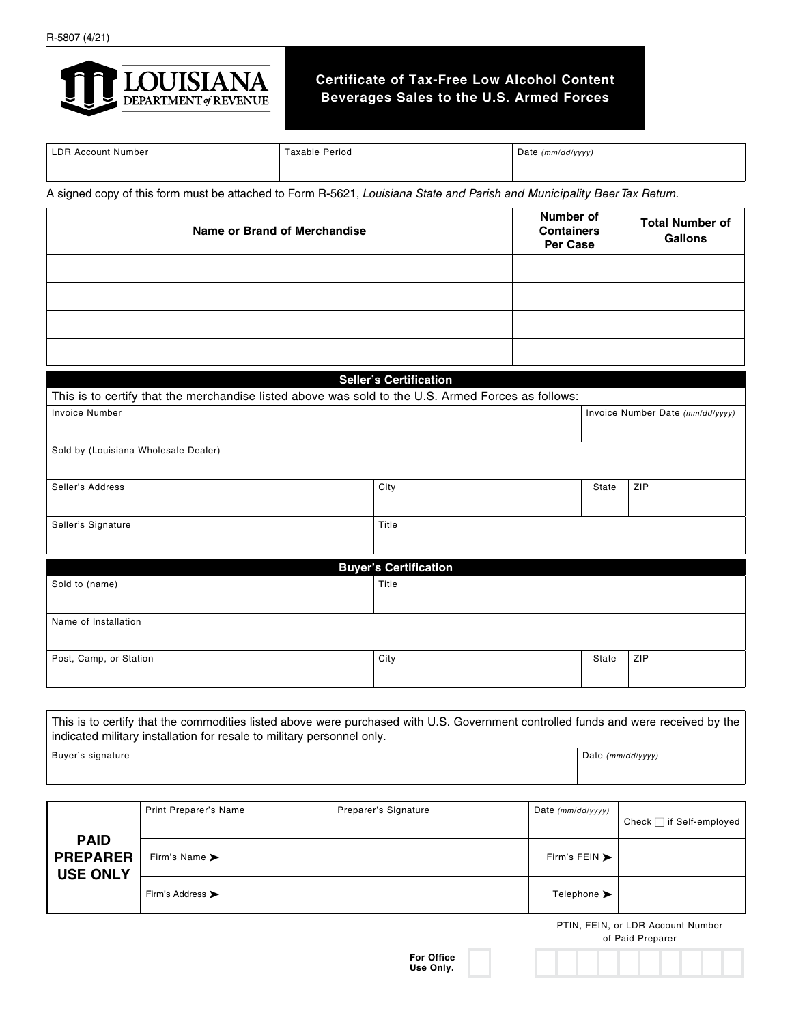

## **Certificate of Tax-Free Low Alcohol Content Beverages Sales to the U.S. Armed Forces**

| LDR.<br>. Account<br>Number | <sup>r</sup> axable Period | (mm/dd/yyyy)<br>Date |
|-----------------------------|----------------------------|----------------------|
|                             |                            |                      |
|                             |                            |                      |

A signed copy of this form must be attached to Form R-5621, *Louisiana State and Parish and Municipality Beer Tax Return.*

| <b>Name or Brand of Merchandise</b>                                                                |  | Number of<br><b>Containers</b><br><b>Per Case</b> |  | <b>Total Number of</b><br><b>Gallons</b> |                                  |
|----------------------------------------------------------------------------------------------------|--|---------------------------------------------------|--|------------------------------------------|----------------------------------|
|                                                                                                    |  |                                                   |  |                                          |                                  |
|                                                                                                    |  |                                                   |  |                                          |                                  |
|                                                                                                    |  |                                                   |  |                                          |                                  |
|                                                                                                    |  |                                                   |  |                                          |                                  |
|                                                                                                    |  |                                                   |  |                                          |                                  |
|                                                                                                    |  | <b>Seller's Certification</b>                     |  |                                          |                                  |
| This is to certify that the merchandise listed above was sold to the U.S. Armed Forces as follows: |  |                                                   |  |                                          |                                  |
| <b>Invoice Number</b>                                                                              |  |                                                   |  |                                          | Invoice Number Date (mm/dd/yyyy) |
| Sold by (Louisiana Wholesale Dealer)                                                               |  |                                                   |  |                                          |                                  |
| Seller's Address                                                                                   |  | City                                              |  | State                                    | ZIP                              |
| Seller's Signature                                                                                 |  | Title                                             |  |                                          |                                  |
|                                                                                                    |  |                                                   |  |                                          |                                  |
| Sold to (name)                                                                                     |  | <b>Buyer's Certification</b><br>Title             |  |                                          |                                  |
|                                                                                                    |  |                                                   |  |                                          |                                  |
| Name of Installation                                                                               |  |                                                   |  |                                          |                                  |
| Post, Camp, or Station                                                                             |  | City                                              |  | State                                    | ZIP                              |
|                                                                                                    |  |                                                   |  |                                          |                                  |

This is to certify that the commodities listed above were purchased with U.S. Government controlled funds and were received by the indicated military installation for resale to military personnel only. Buyer's signature **Date (mm/dd/yyyy)** Date (mm/dd/yyyy)

| <b>PAID</b><br><b>PREPARER</b><br><b>USE ONLY</b> | <b>Print Preparer's Name</b>      |  | Preparer's Signature | Date $(mm/dd/yyyy)$               | Check $\Box$ if Self-employed |
|---------------------------------------------------|-----------------------------------|--|----------------------|-----------------------------------|-------------------------------|
|                                                   | Firm's Name $\blacktriangleright$ |  |                      | Firm's FEIN $\blacktriangleright$ |                               |
|                                                   | Firm's Address >                  |  |                      | Telephone >                       |                               |

PTIN, FEIN, or LDR Account Number of Paid Preparer

**For Office Use Only.**